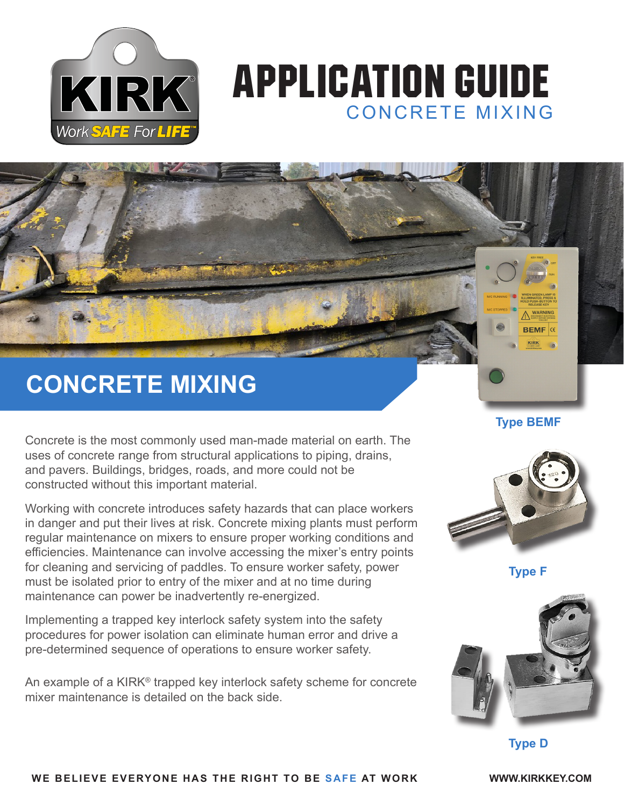

# APPLICATION GUIDE CONCRETE MIXING

## **CONCRETE MIXING**

Concrete is the most commonly used man-made material on earth. The uses of concrete range from structural applications to piping, drains, and pavers. Buildings, bridges, roads, and more could not be constructed without this important material.

Working with concrete introduces safety hazards that can place workers in danger and put their lives at risk. Concrete mixing plants must perform regular maintenance on mixers to ensure proper working conditions and efficiencies. Maintenance can involve accessing the mixer's entry points for cleaning and servicing of paddles. To ensure worker safety, power must be isolated prior to entry of the mixer and at no time during maintenance can power be inadvertently re-energized.

Implementing a trapped key interlock safety system into the safety procedures for power isolation can eliminate human error and drive a pre-determined sequence of operations to ensure worker safety.

An example of a KIRK® trapped key interlock safety scheme for concrete mixer maintenance is detailed on the back side.

**Type BEMF**

**BEMF CE** 



**Type F**



**Type D**